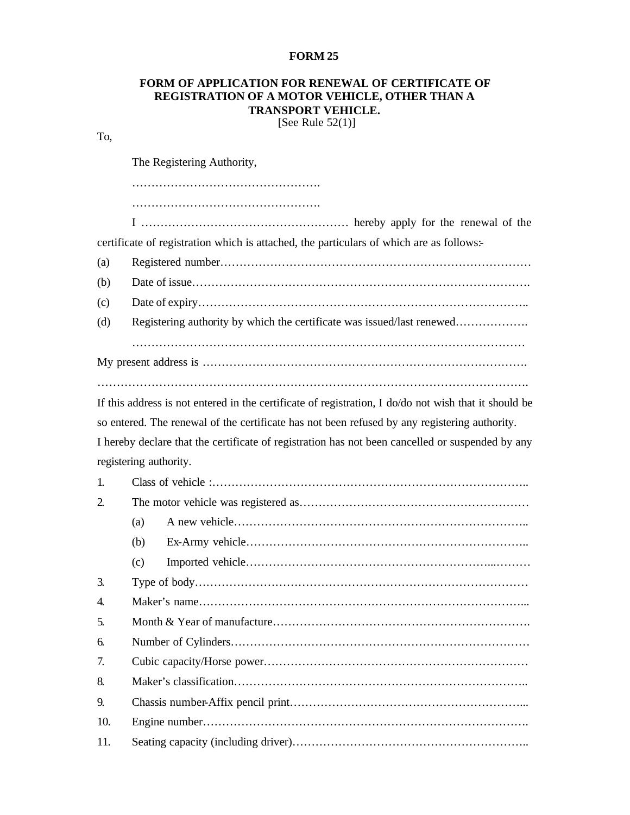## **FORM 25**

## **FORM OF APPLICATION FOR RENEWAL OF CERTIFICATE OF REGISTRATION OF A MOTOR VEHICLE, OTHER THAN A TRANSPORT VEHICLE.**

[See Rule  $52(1)$ ]

## To,

The Registering Authority,

…………………………………………. ………………………………………………………

I ……………………………………………… hereby apply for the renewal of the certificate of registration which is attached, the particulars of which are as follows:

- (a) Registered number………………………………………………………………………
- (b) Date of issue…………………………………………………………………………….
- (c) Date of expiry…………………………………………………………………………..
- (d) Registering authority by which the certificate was issued/last renewed………………

…………………………………………………………………………………………

My present address is …………………………………………………………………………. ………………………………………………………………………………………………….

If this address is not entered in the certificate of registration, I do/do not wish that it should be so entered. The renewal of the certificate has not been refused by any registering authority. I hereby declare that the certificate of registration has not been cancelled or suspended by any registering authority.

| 1.  |     |  |
|-----|-----|--|
| 2   |     |  |
|     | (a) |  |
|     | (b) |  |
|     | (c) |  |
| 3.  |     |  |
| 4.  |     |  |
| .5. |     |  |
| 6.  |     |  |
| 7.  |     |  |
| 8.  |     |  |
| 9.  |     |  |
| 10. |     |  |
| 11. |     |  |